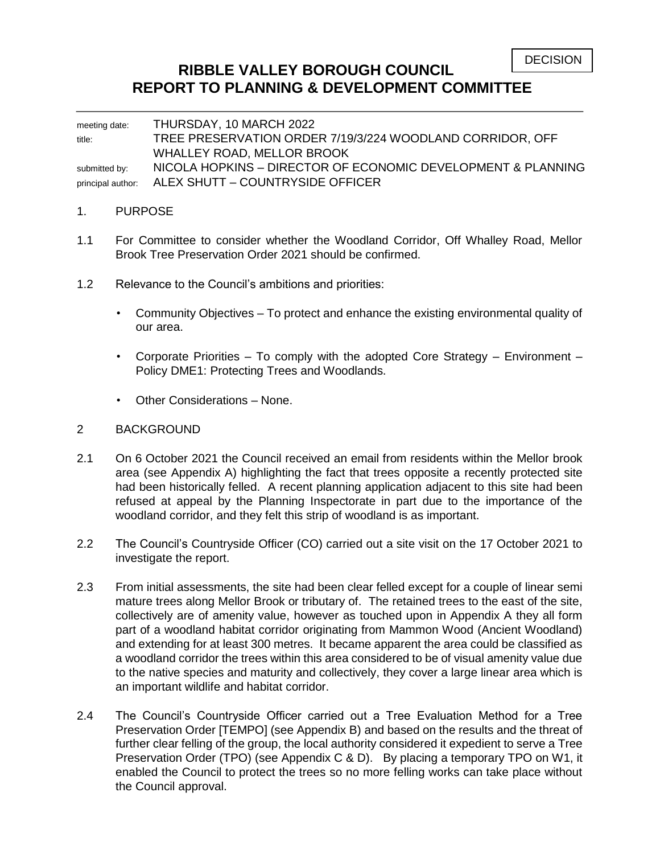# **RIBBLE VALLEY BOROUGH COUNCIL REPORT TO PLANNING & DEVELOPMENT COMMITTEE**

meeting date: THURSDAY, 10 MARCH 2022 title: TREE PRESERVATION ORDER 7/19/3/224 WOODLAND CORRIDOR, OFF WHALLEY ROAD, MELLOR BROOK submitted by: NICOLA HOPKINS - DIRECTOR OF ECONOMIC DEVELOPMENT & PLANNING principal author: ALEX SHUTT – COUNTRYSIDE OFFICER

## 1. PURPOSE

- 1.1 For Committee to consider whether the Woodland Corridor, Off Whalley Road, Mellor Brook Tree Preservation Order 2021 should be confirmed.
- 1.2 Relevance to the Council's ambitions and priorities:
	- Community Objectives To protect and enhance the existing environmental quality of our area.
	- Corporate Priorities To comply with the adopted Core Strategy Environment Policy DME1: Protecting Trees and Woodlands.
	- Other Considerations None.

### 2 BACKGROUND

- 2.1 On 6 October 2021 the Council received an email from residents within the Mellor brook area (see Appendix A) highlighting the fact that trees opposite a recently protected site had been historically felled. A recent planning application adjacent to this site had been refused at appeal by the Planning Inspectorate in part due to the importance of the woodland corridor, and they felt this strip of woodland is as important.
- 2.2 The Council's Countryside Officer (CO) carried out a site visit on the 17 October 2021 to investigate the report.
- 2.3 From initial assessments, the site had been clear felled except for a couple of linear semi mature trees along Mellor Brook or tributary of. The retained trees to the east of the site, collectively are of amenity value, however as touched upon in Appendix A they all form part of a woodland habitat corridor originating from Mammon Wood (Ancient Woodland) and extending for at least 300 metres. It became apparent the area could be classified as a woodland corridor the trees within this area considered to be of visual amenity value due to the native species and maturity and collectively, they cover a large linear area which is an important wildlife and habitat corridor.
- 2.4 The Council's Countryside Officer carried out a Tree Evaluation Method for a Tree Preservation Order [TEMPO] (see Appendix B) and based on the results and the threat of further clear felling of the group, the local authority considered it expedient to serve a Tree Preservation Order (TPO) (see Appendix C & D). By placing a temporary TPO on W1, it enabled the Council to protect the trees so no more felling works can take place without the Council approval.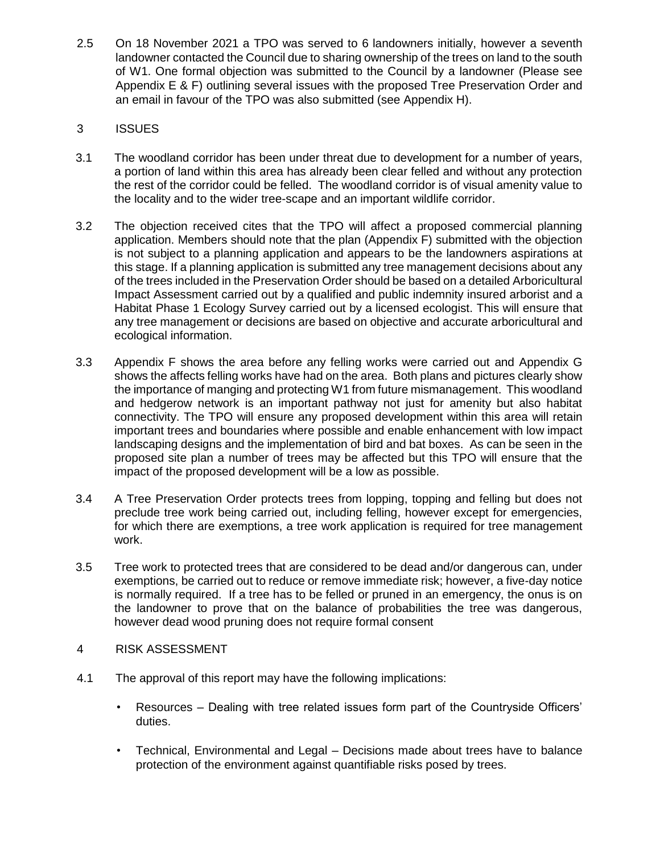2.5 On 18 November 2021 a TPO was served to 6 landowners initially, however a seventh landowner contacted the Council due to sharing ownership of the trees on land to the south of W1. One formal objection was submitted to the Council by a landowner (Please see Appendix E & F) outlining several issues with the proposed Tree Preservation Order and an email in favour of the TPO was also submitted (see Appendix H).

## 3 ISSUES

- 3.1 The woodland corridor has been under threat due to development for a number of years, a portion of land within this area has already been clear felled and without any protection the rest of the corridor could be felled. The woodland corridor is of visual amenity value to the locality and to the wider tree-scape and an important wildlife corridor.
- 3.2 The objection received cites that the TPO will affect a proposed commercial planning application. Members should note that the plan (Appendix F) submitted with the objection is not subject to a planning application and appears to be the landowners aspirations at this stage. If a planning application is submitted any tree management decisions about any of the trees included in the Preservation Order should be based on a detailed Arboricultural Impact Assessment carried out by a qualified and public indemnity insured arborist and a Habitat Phase 1 Ecology Survey carried out by a licensed ecologist. This will ensure that any tree management or decisions are based on objective and accurate arboricultural and ecological information.
- 3.3 Appendix F shows the area before any felling works were carried out and Appendix G shows the affects felling works have had on the area. Both plans and pictures clearly show the importance of manging and protecting W1 from future mismanagement. This woodland and hedgerow network is an important pathway not just for amenity but also habitat connectivity. The TPO will ensure any proposed development within this area will retain important trees and boundaries where possible and enable enhancement with low impact landscaping designs and the implementation of bird and bat boxes. As can be seen in the proposed site plan a number of trees may be affected but this TPO will ensure that the impact of the proposed development will be a low as possible.
- 3.4 A Tree Preservation Order protects trees from lopping, topping and felling but does not preclude tree work being carried out, including felling, however except for emergencies, for which there are exemptions, a tree work application is required for tree management work.
- 3.5 Tree work to protected trees that are considered to be dead and/or dangerous can, under exemptions, be carried out to reduce or remove immediate risk; however, a five-day notice is normally required. If a tree has to be felled or pruned in an emergency, the onus is on the landowner to prove that on the balance of probabilities the tree was dangerous, however dead wood pruning does not require formal consent
- 4 RISK ASSESSMENT
- 4.1 The approval of this report may have the following implications:
	- Resources Dealing with tree related issues form part of the Countryside Officers' duties.
	- Technical, Environmental and Legal Decisions made about trees have to balance protection of the environment against quantifiable risks posed by trees.